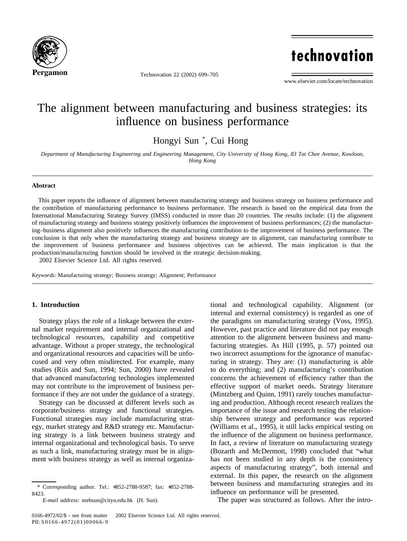

Technovation 22 (2002) 699–705

technovation

www.elsevier.com/locate/technovation

# The alignment between manufacturing and business strategies: its influence on business performance

Hongyi Sun \* , Cui Hong

*Department of Manufacturing Engineering and Engineering Management, City University of Hong Kong, 83 Tat Chee Avenue, Kowloon, Hong Kong*

### **Abstract**

This paper reports the influence of alignment between manufacturing strategy and business strategy on business performance and the contribution of manufacturing performance to business performance. The research is based on the empirical data from the International Manufacturing Strategy Survey (IMSS) conducted in more than 20 countries. The results include: (1) the alignment of manufacturing strategy and business strategy positively influences the improvement of business performances; (2) the manufacturing–business alignment also positively influences the manufacturing contribution to the improvement of business performance. The conclusion is that only when the manufacturing strategy and business strategy are in alignment, can manufacturing contribute to the improvement of business performance and business objectives can be achieved. The main implication is that the production/manufacturing function should be involved in the strategic decision-making. 2002 Elsevier Science Ltd. All rights reserved.

*Keywords:* Manufacturing strategy; Business strategy; Alignment; Performance

## **1. Introduction**

Strategy plays the role of a linkage between the external market requirement and internal organizational and technological resources, capability and competitive advantage. Without a proper strategy, the technological and organizational resources and capacities will be unfocused and very often misdirected. For example, many studies (Riis and Sun, 1994; Sun, 2000) have revealed that advanced manufacturing technologies implemented may not contribute to the improvement of business performance if they are not under the guidance of a strategy.

Strategy can be discussed at different levels such as corporate/business strategy and functional strategies. Functional strategies may include manufacturing strategy, market strategy and R&D strategy etc. Manufacturing strategy is a link between business strategy and internal organizational and technological basis. To serve as such a link, manufacturing strategy must be in alignment with business strategy as well as internal organizational and technological capability. Alignment (or internal and external consistency) is regarded as one of the paradigms on manufacturing strategy (Voss, 1995). However, past practice and literature did not pay enough attention to the alignment between business and manufacturing strategies. As Hill (1995, p. 57) pointed out two incorrect assumptions for the ignorance of manufacturing in strategy. They are: (1) manufacturing is able to do everything; and (2) manufacturing's contribution concerns the achievement of efficiency rather than the effective support of market needs. Strategy literature (Mintzberg and Quinn, 1991) rarely touches manufacturing and production. Although recent research realizes the importance of the issue and research testing the relationship between strategy and performance was reported (Williams et al., 1995), it still lacks empirical testing on the influence of the alignment on business performance. In fact, a review of literature on manufacturing strategy (Bozarth and McDermott, 1998) concluded that "what has not been studied in any depth is the consistency aspects of manufacturing strategy", both internal and external. In this paper, the research on the alignment between business and manufacturing strategies and its influence on performance will be presented.

The paper was structured as follows. After the intro-

<sup>\*</sup> Corresponding author. Tel.: +852-2788-9587; fax: +852-2788- 8423.

*E-mail address:* mehsun@cityu.edu.hk (H. Sun).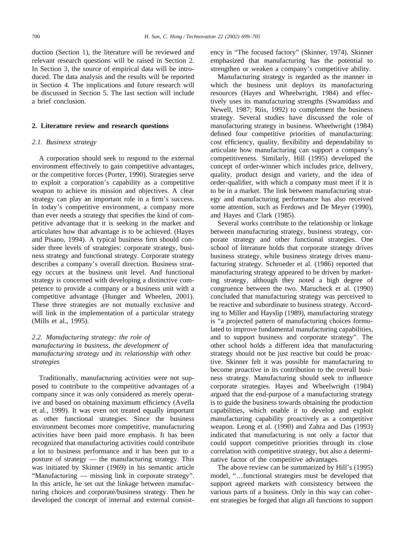duction (Section 1), the literature will be reviewed and relevant research questions will be raised in Section 2. In Section 3, the source of empirical data will be introduced. The data analysis and the results will be reported in Section 4. The implications and future research will be discussed in Section 5. The last section will include a brief conclusion.

#### **2. Literature review and research questions**

### *2.1. Business strategy*

A corporation should seek to respond to the external environment effectively to gain competitive advantages, or the competitive forces (Porter, 1990). Strategies serve to exploit a corporation's capability as a competitive weapon to achieve its mission and objectives. A clear strategy can play an important role in a firm's success. In today's competitive environment, a company more than ever needs a strategy that specifies the kind of competitive advantage that it is seeking in the market and articulates how that advantage is to be achieved. (Hayes and Pisano, 1994). A typical business firm should consider three levels of strategies: corporate strategy, business strategy and functional strategy. Corporate strategy describes a company's overall direction. Business strategy occurs at the business unit level. And functional strategy is concerned with developing a distinctive competence to provide a company or a business unit with a competitive advantage (Hunger and Wheelen, 2001). These three strategies are not mutually exclusive and will link in the implementation of a particular strategy (Mills et al., 1995).

## *2.2. Manufacturing strategy: the role of manufacturing in business, the development of manufacturing strategy and its relationship with other strategies*

Traditionally, manufacturing activities were not supposed to contribute to the competitive advantages of a company since it was only considered as merely operative and based on obtaining maximum efficiency (Avella et al., 1999). It was even not treated equally important as other functional strategies. Since the business environment becomes more competitive, manufacturing activities have been paid more emphasis. It has been recognized that manufacturing activities could contribute a lot to business performance and it has been put to a posture of strategy — the manufacturing strategy. This was initiated by Skinner (1969) in his semantic article "Manufacturing — missing link in corporate strategy". In this article, he set out the linkage between manufacturing choices and corporate/business strategy. Then he developed the concept of internal and external consistency in "The focused factory" (Skinner, 1974). Skinner emphasized that manufacturing has the potential to strengthen or weaken a company's competitive ability.

Manufacturing strategy is regarded as the manner in which the business unit deploys its manufacturing resources (Hayes and Wheelwright, 1984) and effectively uses its manufacturing strengths (Swamidass and Newell, 1987; Riis, 1992) to complement the business strategy. Several studies have discussed the role of manufacturing strategy in business. Wheelwright (1984) defined four competitive priorities of manufacturing: cost efficiency, quality, flexibility and dependability to articulate how manufacturing can support a company's competitiveness. Similarly, Hill (1995) developed the concept of order-winner which includes price, delivery, quality, product design and variety, and the idea of order-qualifier, with which a company must meet if it is to be in a market. The link between manufacturing strategy and manufacturing performance has also received some attention, such as Ferdows and De Meyer (1990), and Hayes and Clark (1985).

Several works contribute to the relationship or linkage between manufacturing strategy, business strategy, corporate strategy and other functional strategies. One school of literature holds that corporate strategy drives business strategy, while business strategy drives manufacturing strategy. Schroeder et al. (1986) reported that manufacturing strategy appeared to be driven by marketing strategy, although they noted a high degree of congruence between the two. Marucheck et al. (1990) concluded that manufacturing strategy was perceived to be reactive and subordinate to business strategy. According to Miller and Hayslip (1989), manufacturing strategy is "a projected pattern of manufacturing choices formulated to improve fundamental manufacturing capabilities, and to support business and corporate strategy". The other school holds a different idea that manufacturing strategy should not be just reactive but could be proactive. Skinner felt it was possible for manufacturing to become proactive in its contribution to the overall business strategy. Manufacturing should seek to influence corporate strategies. Hayes and Wheelwright (1984) argued that the end-purpose of a manufacturing strategy is to guide the business towards obtaining the production capabilities, which enable it to develop and exploit manufacturing capability proactively as a competitive weapon. Leong et al. (1990) and Zahra and Das (1993) indicated that manufacturing is not only a factor that could support competitive priorities through its close correlation with competitive strategy, but also a determinative factor of the competitive advantages.

The above review can be summarized by Hill's (1995) model, "…functional strategies must be developed that support agreed markets with consistency between the various parts of a business. Only in this way can coherent strategies be forged that align all functions to support